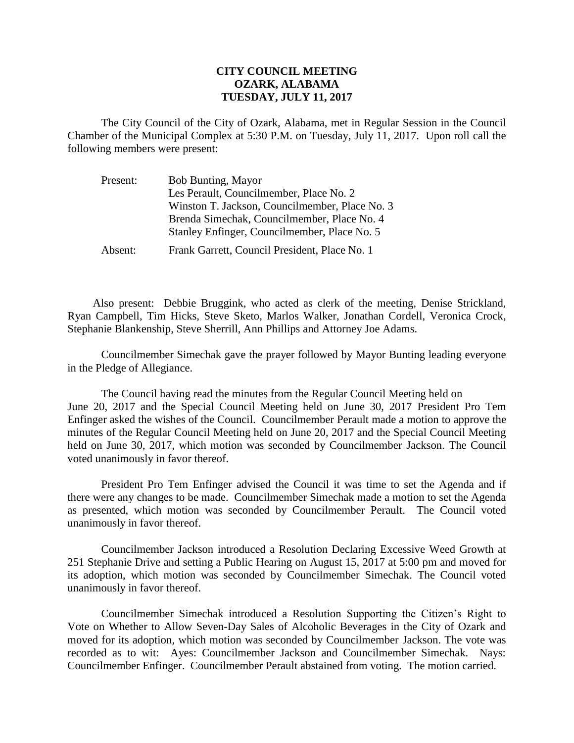## **CITY COUNCIL MEETING OZARK, ALABAMA TUESDAY, JULY 11, 2017**

The City Council of the City of Ozark, Alabama, met in Regular Session in the Council Chamber of the Municipal Complex at 5:30 P.M. on Tuesday, July 11, 2017. Upon roll call the following members were present:

| Present: | <b>Bob Bunting, Mayor</b>                      |
|----------|------------------------------------------------|
|          | Les Perault, Councilmember, Place No. 2        |
|          | Winston T. Jackson, Councilmember, Place No. 3 |
|          | Brenda Simechak, Councilmember, Place No. 4    |
|          | Stanley Enfinger, Councilmember, Place No. 5   |
| Absent:  | Frank Garrett, Council President, Place No. 1  |

Also present: Debbie Bruggink, who acted as clerk of the meeting, Denise Strickland, Ryan Campbell, Tim Hicks, Steve Sketo, Marlos Walker, Jonathan Cordell, Veronica Crock, Stephanie Blankenship, Steve Sherrill, Ann Phillips and Attorney Joe Adams.

Councilmember Simechak gave the prayer followed by Mayor Bunting leading everyone in the Pledge of Allegiance.

The Council having read the minutes from the Regular Council Meeting held on June 20, 2017 and the Special Council Meeting held on June 30, 2017 President Pro Tem Enfinger asked the wishes of the Council. Councilmember Perault made a motion to approve the minutes of the Regular Council Meeting held on June 20, 2017 and the Special Council Meeting held on June 30, 2017, which motion was seconded by Councilmember Jackson. The Council voted unanimously in favor thereof.

President Pro Tem Enfinger advised the Council it was time to set the Agenda and if there were any changes to be made. Councilmember Simechak made a motion to set the Agenda as presented, which motion was seconded by Councilmember Perault. The Council voted unanimously in favor thereof.

Councilmember Jackson introduced a Resolution Declaring Excessive Weed Growth at 251 Stephanie Drive and setting a Public Hearing on August 15, 2017 at 5:00 pm and moved for its adoption, which motion was seconded by Councilmember Simechak. The Council voted unanimously in favor thereof.

Councilmember Simechak introduced a Resolution Supporting the Citizen's Right to Vote on Whether to Allow Seven-Day Sales of Alcoholic Beverages in the City of Ozark and moved for its adoption, which motion was seconded by Councilmember Jackson. The vote was recorded as to wit: Ayes: Councilmember Jackson and Councilmember Simechak. Nays: Councilmember Enfinger. Councilmember Perault abstained from voting. The motion carried.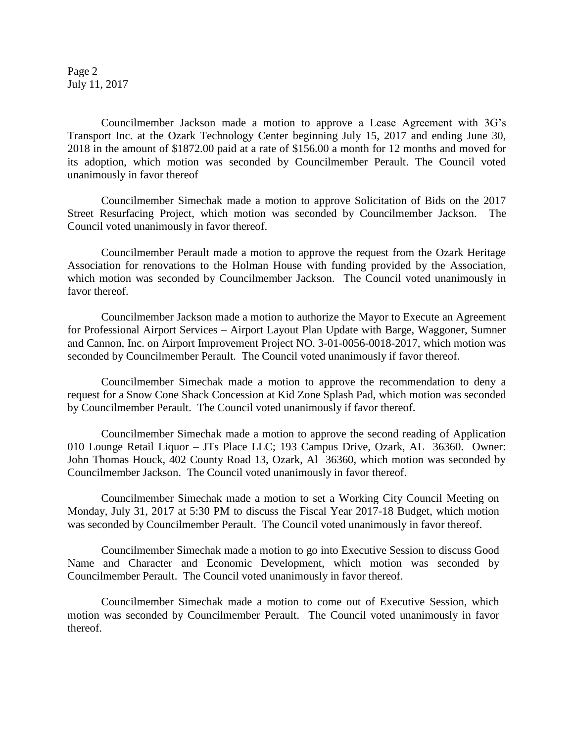Page 2 July 11, 2017

Councilmember Jackson made a motion to approve a Lease Agreement with 3G's Transport Inc. at the Ozark Technology Center beginning July 15, 2017 and ending June 30, 2018 in the amount of \$1872.00 paid at a rate of \$156.00 a month for 12 months and moved for its adoption, which motion was seconded by Councilmember Perault. The Council voted unanimously in favor thereof

Councilmember Simechak made a motion to approve Solicitation of Bids on the 2017 Street Resurfacing Project, which motion was seconded by Councilmember Jackson. The Council voted unanimously in favor thereof.

Councilmember Perault made a motion to approve the request from the Ozark Heritage Association for renovations to the Holman House with funding provided by the Association, which motion was seconded by Councilmember Jackson. The Council voted unanimously in favor thereof.

Councilmember Jackson made a motion to authorize the Mayor to Execute an Agreement for Professional Airport Services – Airport Layout Plan Update with Barge, Waggoner, Sumner and Cannon, Inc. on Airport Improvement Project NO. 3-01-0056-0018-2017, which motion was seconded by Councilmember Perault. The Council voted unanimously if favor thereof.

Councilmember Simechak made a motion to approve the recommendation to deny a request for a Snow Cone Shack Concession at Kid Zone Splash Pad, which motion was seconded by Councilmember Perault. The Council voted unanimously if favor thereof.

Councilmember Simechak made a motion to approve the second reading of Application 010 Lounge Retail Liquor – JTs Place LLC; 193 Campus Drive, Ozark, AL 36360. Owner: John Thomas Houck, 402 County Road 13, Ozark, Al 36360, which motion was seconded by Councilmember Jackson. The Council voted unanimously in favor thereof.

Councilmember Simechak made a motion to set a Working City Council Meeting on Monday, July 31, 2017 at 5:30 PM to discuss the Fiscal Year 2017-18 Budget, which motion was seconded by Councilmember Perault. The Council voted unanimously in favor thereof.

Councilmember Simechak made a motion to go into Executive Session to discuss Good Name and Character and Economic Development, which motion was seconded by Councilmember Perault. The Council voted unanimously in favor thereof.

Councilmember Simechak made a motion to come out of Executive Session, which motion was seconded by Councilmember Perault. The Council voted unanimously in favor thereof.